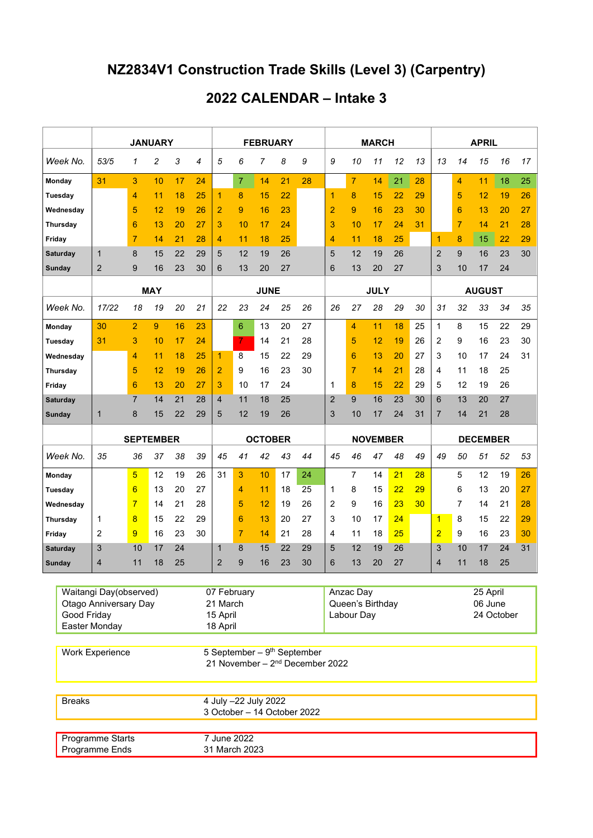## **NZ2834V1 Construction Trade Skills (Level 3) (Carpentry)**

## **2022 CALENDAR – Intake 3**

|                                                        |                                                                                                        | <b>JANUARY</b>   |                |                |                         |          | <b>FEBRUARY</b>                |                |    |    |                             |                     |                | <b>MARCH</b> |    |    | <b>APRIL</b>    |                |    |    |    |
|--------------------------------------------------------|--------------------------------------------------------------------------------------------------------|------------------|----------------|----------------|-------------------------|----------|--------------------------------|----------------|----|----|-----------------------------|---------------------|----------------|--------------|----|----|-----------------|----------------|----|----|----|
| Week No.                                               |                                                                                                        | 53/5             | 1              | $\overline{c}$ | 3                       | 4        | 5                              | 6              | 7  | 8  | 9                           | 9                   | 10             | 11           | 12 | 13 | 13              | 14             | 15 | 16 | 17 |
| Monday                                                 |                                                                                                        | 31               | 3              | 10             | 17                      | 24       |                                | 7              | 14 | 21 | 28                          |                     | $\overline{7}$ | 14           | 21 | 28 |                 | $\overline{4}$ | 11 | 18 | 25 |
| Tuesday                                                |                                                                                                        |                  | 4              | 11             | 18                      | 25       | 1                              | 8              | 15 | 22 |                             | 1                   | 8              | 15           | 22 | 29 |                 | 5              | 12 | 19 | 26 |
| Wednesday                                              |                                                                                                        |                  | 5              | 12             | 19                      | 26       | 2                              | 9              | 16 | 23 |                             | $\overline{2}$      | 9              | 16           | 23 | 30 |                 | 6              | 13 | 20 | 27 |
| <b>Thursday</b>                                        |                                                                                                        |                  | 6              | 13             | 20                      | 27       | 3                              | 10             | 17 | 24 |                             | 3                   | 10             | 17           | 24 | 31 |                 | $\overline{7}$ | 14 | 21 | 28 |
| Friday                                                 |                                                                                                        |                  | $\overline{7}$ | 14             | 21                      | 28       | 4                              | 11             | 18 | 25 |                             | 4                   | 11             | 18           | 25 |    | 1               | 8              | 15 | 22 | 29 |
| Saturday                                               |                                                                                                        | $\mathbf{1}$     | 8              | 15             | 22                      | 29       | 5                              | 12             | 19 | 26 |                             | 5                   | 12             | 19           | 26 |    | $\overline{2}$  | 9              | 16 | 23 | 30 |
| Sunday                                                 |                                                                                                        | $\overline{2}$   | 9              | 16             | 23                      | 30       | 6                              | 13             | 20 | 27 |                             | 6                   | 13             | 20           | 27 |    | 3               | 10             | 17 | 24 |    |
|                                                        |                                                                                                        | <b>MAY</b>       |                |                |                         |          | <b>JUNE</b>                    |                |    |    |                             | <b>JULY</b>         |                |              |    |    | <b>AUGUST</b>   |                |    |    |    |
| Week No.                                               |                                                                                                        | 17/22            | 18             | 19             | 20                      | 21       | 22                             | 23             | 24 | 25 | 26                          | 26                  | 27             | 28           | 29 | 30 | 31              | 32             | 33 | 34 | 35 |
| Monday                                                 |                                                                                                        | 30               | $\overline{2}$ | 9              | 16                      | 23       |                                | 6              | 13 | 20 | 27                          |                     | $\overline{4}$ | 11           | 18 | 25 | $\mathbf{1}$    | 8              | 15 | 22 | 29 |
| Tuesday                                                |                                                                                                        | 31               | 3              | 10             | 17                      | 24       |                                | 7              | 14 | 21 | 28                          |                     | 5              | 12           | 19 | 26 | 2               | 9              | 16 | 23 | 30 |
| Wednesday                                              |                                                                                                        |                  | 4              | 11             | 18                      | 25       | 1                              | 8              | 15 | 22 | 29                          |                     | 6              | 13           | 20 | 27 | 3               | 10             | 17 | 24 | 31 |
| <b>Thursday</b>                                        |                                                                                                        |                  | 5              | 12             | 19                      | 26       | 2                              | 9              | 16 | 23 | 30                          |                     | 7              | 14           | 21 | 28 | 4               | 11             | 18 | 25 |    |
| Friday                                                 |                                                                                                        |                  | 6              | 13             | 20                      | 27       | 3                              | 10             | 17 | 24 |                             | 1                   | 8              | 15           | 22 | 29 | 5               | 12             | 19 | 26 |    |
| Saturday                                               |                                                                                                        |                  | 7              | 14             | 21                      | 28       | 4                              | 11             | 18 | 25 |                             | $\overline{2}$      | 9              | 16           | 23 | 30 | 6               | 13             | 20 | 27 |    |
| Sunday                                                 |                                                                                                        | $\mathbf 1$      | 8              | 15             | 22                      | 29       | 5                              | 12             | 19 | 26 |                             | 3                   | 10             | 17           | 24 | 31 | 7               | 14             | 21 | 28 |    |
|                                                        |                                                                                                        | <b>SEPTEMBER</b> |                |                |                         |          | <b>OCTOBER</b>                 |                |    |    |                             | <b>NOVEMBER</b>     |                |              |    |    | <b>DECEMBER</b> |                |    |    |    |
| Week No.                                               |                                                                                                        | 35               | 36             | 37             | 38                      | 39       | 45                             | 41             | 42 | 43 | 44                          | 45                  | 46             | 47           | 48 | 49 | 49              | 50             | 51 | 52 | 53 |
| Monday                                                 |                                                                                                        |                  | 5              | 12             | 19                      | 26       | 31                             | 3              | 10 | 17 | 24                          |                     | $\overline{7}$ | 14           | 21 | 28 |                 | 5              | 12 | 19 | 26 |
| <b>Tuesday</b>                                         |                                                                                                        |                  | 6              | 13             | 20                      | 27       |                                | $\overline{4}$ | 11 | 18 | 25                          | 1                   | 8              | 15           | 22 | 29 |                 | 6              | 13 | 20 | 27 |
| Wednesday                                              |                                                                                                        |                  | $\overline{7}$ | 14             | 21                      | 28       |                                | 5              | 12 | 19 | 26                          | 2                   | 9              | 16           | 23 | 30 |                 | 7              | 14 | 21 | 28 |
| Thursday                                               |                                                                                                        | 1                | 8              | 15             | 22                      | 29       |                                | 6              | 13 | 20 | 27                          | 3                   | 10             | 17           | 24 |    | 1               | 8              | 15 | 22 | 29 |
| Friday                                                 |                                                                                                        | 2                | 9              | 16             | 23                      | 30       |                                | 7              | 14 | 21 | 28                          | 4                   | 11             | 18           | 25 |    | $\overline{2}$  | 9              | 16 | 23 | 30 |
| <b>Saturday</b>                                        |                                                                                                        | 3                | 10             | 17             | 24                      |          | 1                              | 8              | 15 | 22 | 29                          | 5                   | 12             | 19           | 26 |    | 3               | 10             | 17 | 24 | 31 |
| <b>Sunday</b>                                          |                                                                                                        | 4                | 11             | 18             | 25                      |          | $\overline{2}$                 | 9              | 16 | 23 | 30                          | 6                   | 13             | 20           | 27 |    | $\overline{4}$  | 11             | 18 | 25 |    |
|                                                        |                                                                                                        |                  |                |                |                         |          |                                |                |    |    |                             |                     |                |              |    |    |                 |                |    |    |    |
| Waitangi Day(observed)<br><b>Otago Anniversary Day</b> |                                                                                                        |                  |                |                | 07 February<br>21 March |          |                                | Anzac Day      |    |    |                             | 25 April<br>06 June |                |              |    |    |                 |                |    |    |    |
| Good Friday                                            |                                                                                                        |                  |                |                |                         | 15 April | Queen's Birthday<br>Labour Day |                |    |    |                             | 24 October          |                |              |    |    |                 |                |    |    |    |
|                                                        | Easter Monday<br>18 April                                                                              |                  |                |                |                         |          |                                |                |    |    |                             |                     |                |              |    |    |                 |                |    |    |    |
|                                                        |                                                                                                        |                  |                |                |                         |          |                                |                |    |    |                             |                     |                |              |    |    |                 |                |    |    |    |
|                                                        | 5 September - $9th$ September<br><b>Work Experience</b><br>21 November - 2 <sup>nd</sup> December 2022 |                  |                |                |                         |          |                                |                |    |    |                             |                     |                |              |    |    |                 |                |    |    |    |
| <b>Breaks</b>                                          |                                                                                                        |                  |                |                |                         |          | 4 July -22 July 2022           |                |    |    |                             |                     |                |              |    |    |                 |                |    |    |    |
|                                                        |                                                                                                        |                  |                |                |                         |          |                                |                |    |    | 3 October - 14 October 2022 |                     |                |              |    |    |                 |                |    |    |    |
|                                                        |                                                                                                        | Programme Starts |                |                |                         |          | 7 June 2022                    |                |    |    |                             |                     |                |              |    |    |                 |                |    |    |    |
|                                                        |                                                                                                        | Programme Ends   |                |                |                         |          | 31 March 2023                  |                |    |    |                             |                     |                |              |    |    |                 |                |    |    |    |